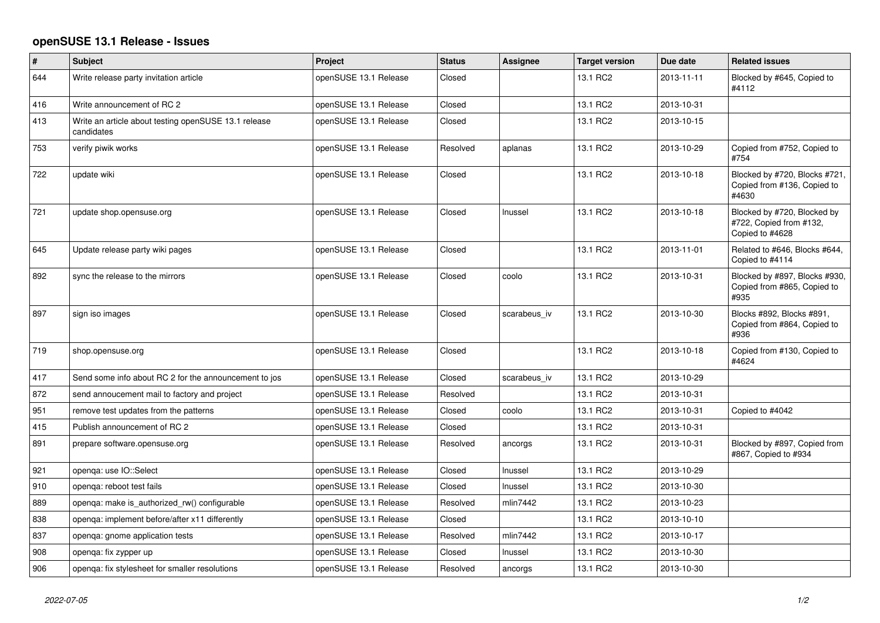## **openSUSE 13.1 Release - Issues**

| $\pmb{\#}$ | Subject                                                            | <b>Project</b>        | <b>Status</b> | Assignee     | <b>Target version</b> | Due date   | <b>Related issues</b>                                                     |
|------------|--------------------------------------------------------------------|-----------------------|---------------|--------------|-----------------------|------------|---------------------------------------------------------------------------|
| 644        | Write release party invitation article                             | openSUSE 13.1 Release | Closed        |              | 13.1 RC2              | 2013-11-11 | Blocked by #645, Copied to<br>#4112                                       |
| 416        | Write announcement of RC 2                                         | openSUSE 13.1 Release | Closed        |              | 13.1 RC2              | 2013-10-31 |                                                                           |
| 413        | Write an article about testing openSUSE 13.1 release<br>candidates | openSUSE 13.1 Release | Closed        |              | 13.1 RC2              | 2013-10-15 |                                                                           |
| 753        | verify piwik works                                                 | openSUSE 13.1 Release | Resolved      | aplanas      | 13.1 RC2              | 2013-10-29 | Copied from #752, Copied to<br>#754                                       |
| 722        | update wiki                                                        | openSUSE 13.1 Release | Closed        |              | 13.1 RC2              | 2013-10-18 | Blocked by #720, Blocks #721,<br>Copied from #136, Copied to<br>#4630     |
| 721        | update shop.opensuse.org                                           | openSUSE 13.1 Release | Closed        | Inussel      | 13.1 RC2              | 2013-10-18 | Blocked by #720, Blocked by<br>#722, Copied from #132,<br>Copied to #4628 |
| 645        | Update release party wiki pages                                    | openSUSE 13.1 Release | Closed        |              | 13.1 RC2              | 2013-11-01 | Related to #646, Blocks #644,<br>Copied to #4114                          |
| 892        | sync the release to the mirrors                                    | openSUSE 13.1 Release | Closed        | coolo        | 13.1 RC2              | 2013-10-31 | Blocked by #897, Blocks #930,<br>Copied from #865, Copied to<br>#935      |
| 897        | sign iso images                                                    | openSUSE 13.1 Release | Closed        | scarabeus_iv | 13.1 RC2              | 2013-10-30 | Blocks #892, Blocks #891,<br>Copied from #864, Copied to<br>#936          |
| 719        | shop.opensuse.org                                                  | openSUSE 13.1 Release | Closed        |              | 13.1 RC2              | 2013-10-18 | Copied from #130, Copied to<br>#4624                                      |
| 417        | Send some info about RC 2 for the announcement to jos              | openSUSE 13.1 Release | Closed        | scarabeus_iv | 13.1 RC2              | 2013-10-29 |                                                                           |
| 872        | send annoucement mail to factory and project                       | openSUSE 13.1 Release | Resolved      |              | 13.1 RC2              | 2013-10-31 |                                                                           |
| 951        | remove test updates from the patterns                              | openSUSE 13.1 Release | Closed        | coolo        | 13.1 RC2              | 2013-10-31 | Copied to #4042                                                           |
| 415        | Publish announcement of RC 2                                       | openSUSE 13.1 Release | Closed        |              | 13.1 RC2              | 2013-10-31 |                                                                           |
| 891        | prepare software.opensuse.org                                      | openSUSE 13.1 Release | Resolved      | ancorgs      | 13.1 RC2              | 2013-10-31 | Blocked by #897, Copied from<br>#867, Copied to #934                      |
| 921        | openqa: use IO::Select                                             | openSUSE 13.1 Release | Closed        | Inussel      | 13.1 RC2              | 2013-10-29 |                                                                           |
| 910        | openga: reboot test fails                                          | openSUSE 13.1 Release | Closed        | Inussel      | 13.1 RC2              | 2013-10-30 |                                                                           |
| 889        | openga: make is authorized rw() configurable                       | openSUSE 13.1 Release | Resolved      | mlin7442     | 13.1 RC2              | 2013-10-23 |                                                                           |
| 838        | openga: implement before/after x11 differently                     | openSUSE 13.1 Release | Closed        |              | 13.1 RC2              | 2013-10-10 |                                                                           |
| 837        | openga: gnome application tests                                    | openSUSE 13.1 Release | Resolved      | mlin7442     | 13.1 RC2              | 2013-10-17 |                                                                           |
| 908        | openga: fix zypper up                                              | openSUSE 13.1 Release | Closed        | Inussel      | 13.1 RC2              | 2013-10-30 |                                                                           |
| 906        | openga: fix stylesheet for smaller resolutions                     | openSUSE 13.1 Release | Resolved      | ancorgs      | 13.1 RC2              | 2013-10-30 |                                                                           |